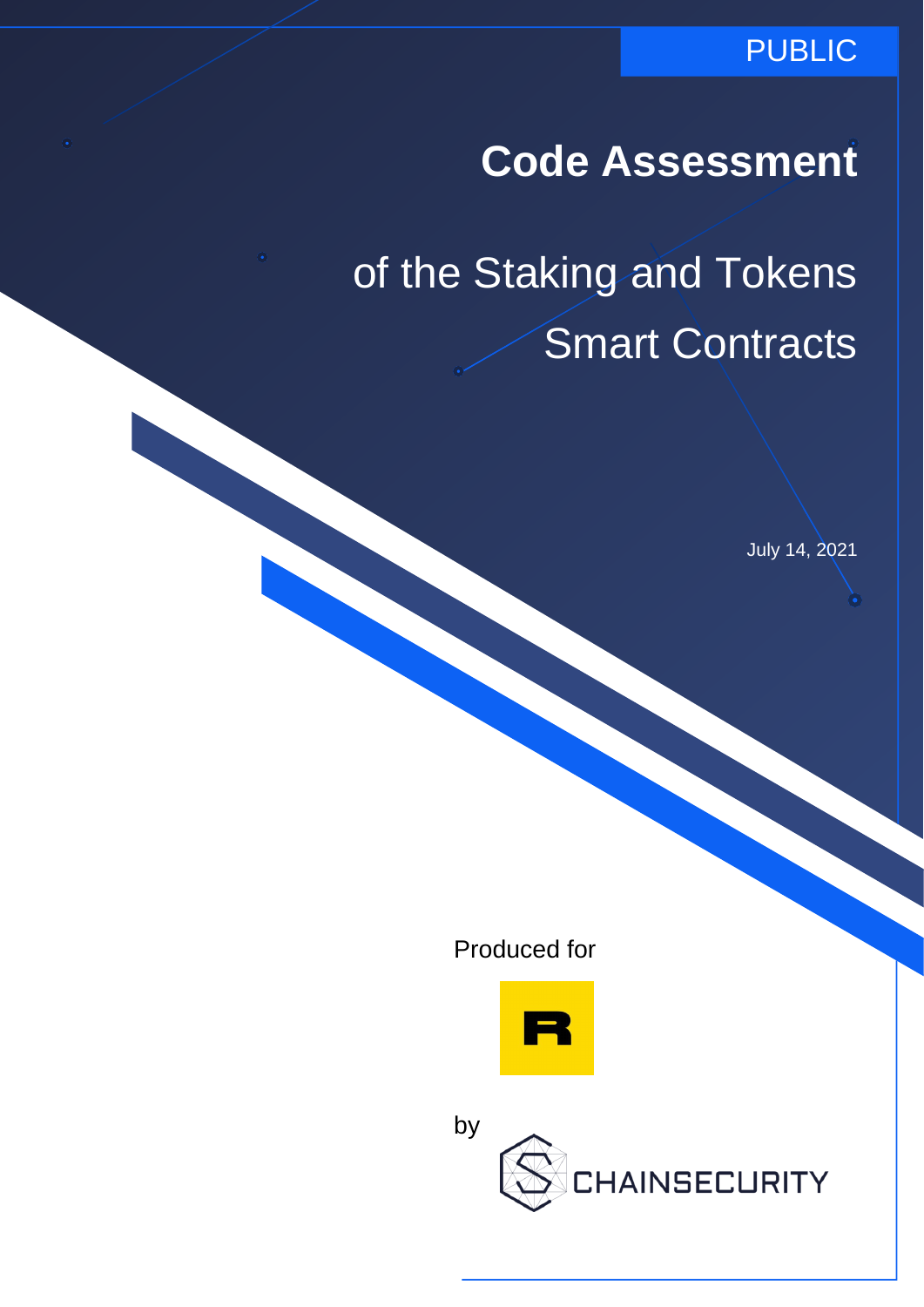### PUBLIC

# **Code Assessment**

of the Staking and Tokens Smart Contracts

July 14, 2021

Produced for



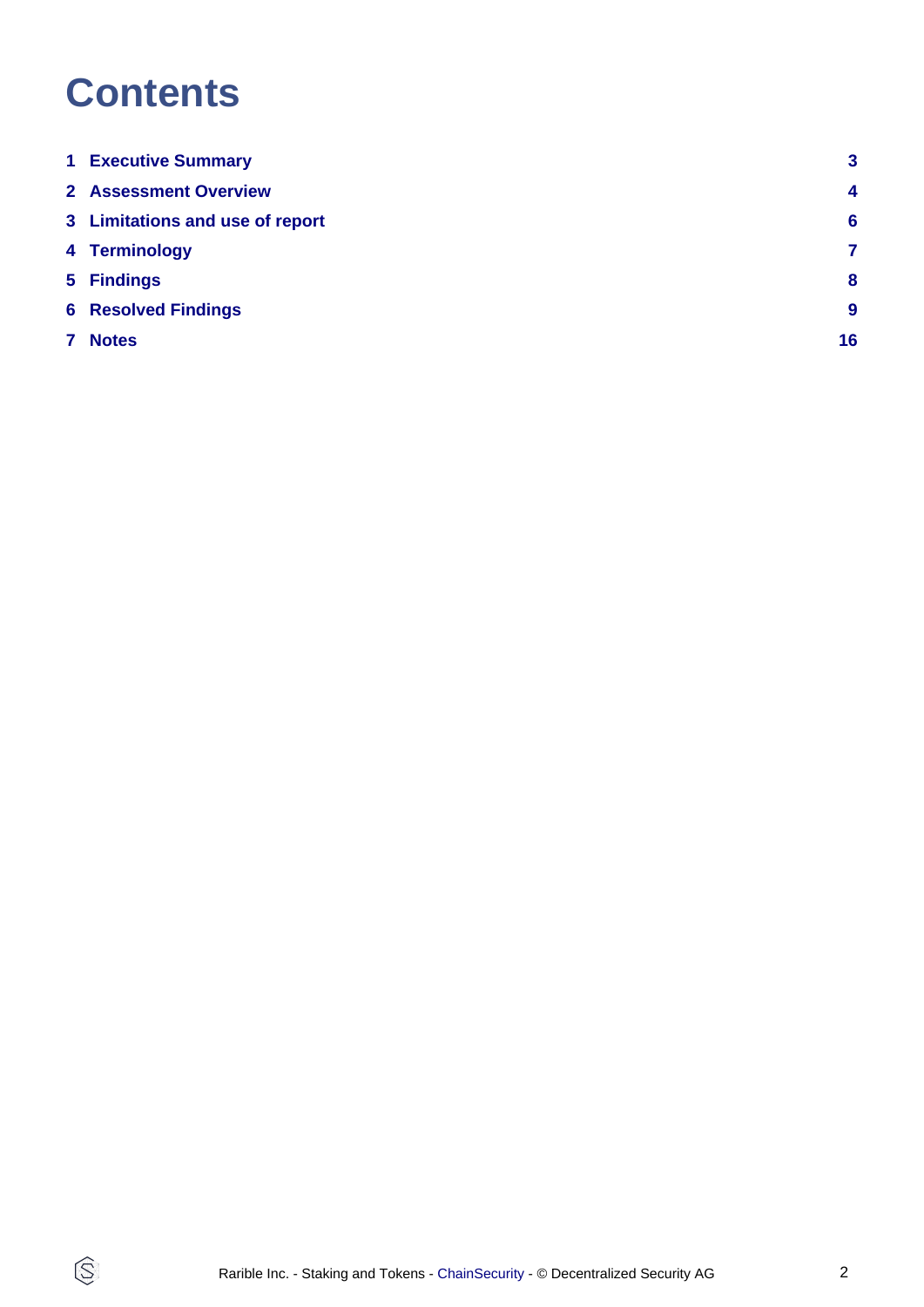# **Contents**

 $\circledS$ 

| <b>1 Executive Summary</b>      | $\mathbf{3}$            |
|---------------------------------|-------------------------|
| <b>2</b> Assessment Overview    | $\overline{\mathbf{4}}$ |
| 3 Limitations and use of report | $6\phantom{1}6$         |
| 4 Terminology                   | 7                       |
| 5 Findings                      | 8                       |
| <b>6 Resolved Findings</b>      | $\boldsymbol{9}$        |
| 7 Notes                         | 16                      |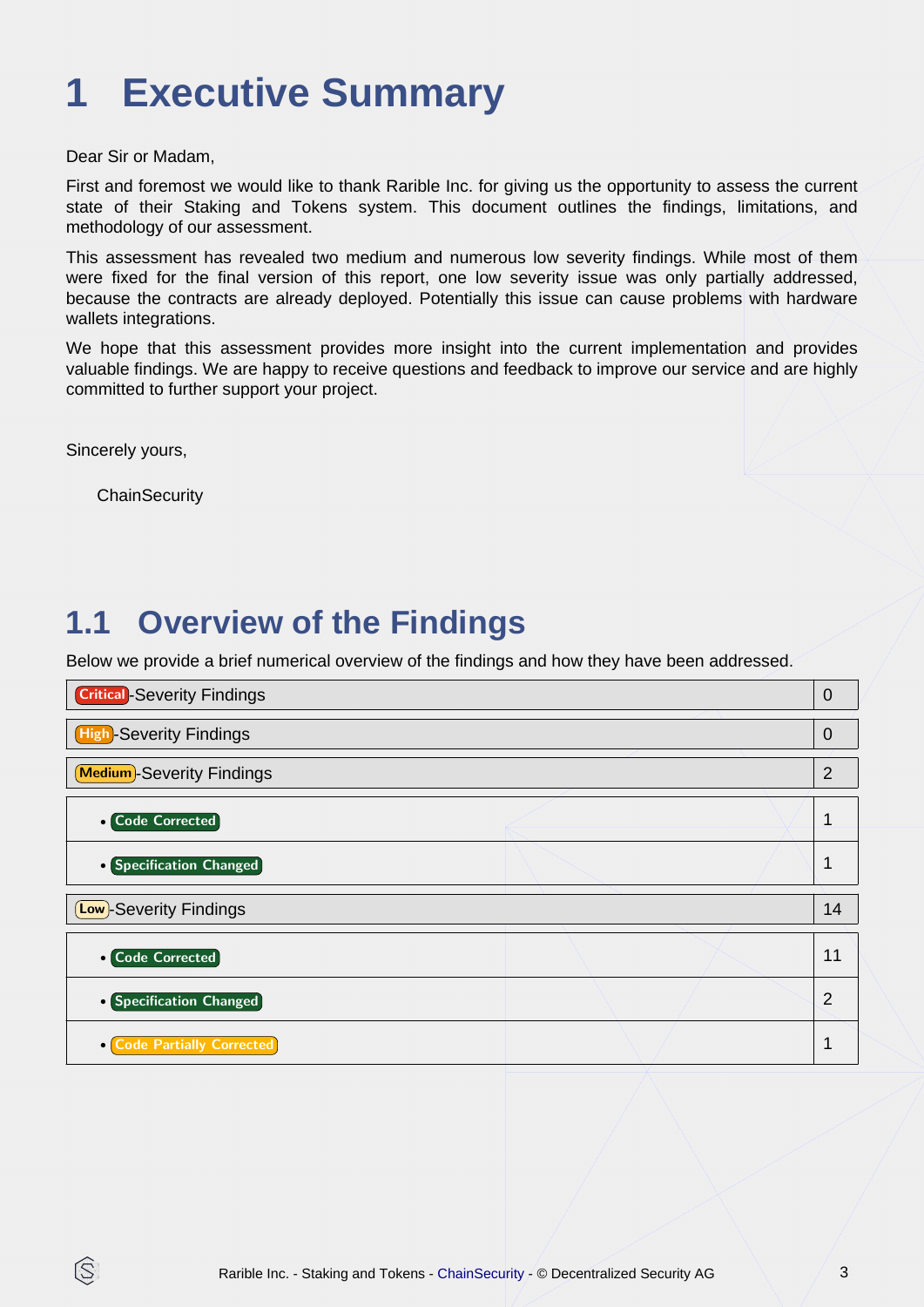# <span id="page-2-0"></span>**1 Executive Summary**

Dear Sir or Madam,

First and foremost we would like to thank Rarible Inc. for giving us the opportunity to assess the current state of their Staking and Tokens system. This document outlines the findings, limitations, and methodology of our assessment.

This assessment has revealed two medium and numerous low severity findings. While most of them were fixed for the final version of this report, one low severity issue was only partially addressed, because the contracts are already deployed. Potentially this issue can cause problems with hardware wallets integrations.

We hope that this assessment provides more insight into the current implementation and provides valuable findings. We are happy to receive questions and feedback to improve our service and are highly committed to further support your project.

Sincerely yours,

IS

**ChainSecurity** 

### **1.1 Overview of the Findings**

Below we provide a brief numerical overview of the findings and how they have been addressed.

| <b>Critical</b> -Severity Findings | $\overline{0}$ |
|------------------------------------|----------------|
| <b>High-Severity Findings</b>      | $\mathbf 0$    |
| <b>Medium</b> -Severity Findings   | $\overline{2}$ |
| <b>• Code Corrected</b>            | 1              |
| • Specification Changed            | 1              |
| <b>Low</b> -Severity Findings      | 14             |
| <b>• Code Corrected</b>            | 11             |
| • Specification Changed            | $\overline{2}$ |
| <b>Code Partially Corrected</b>    | 1              |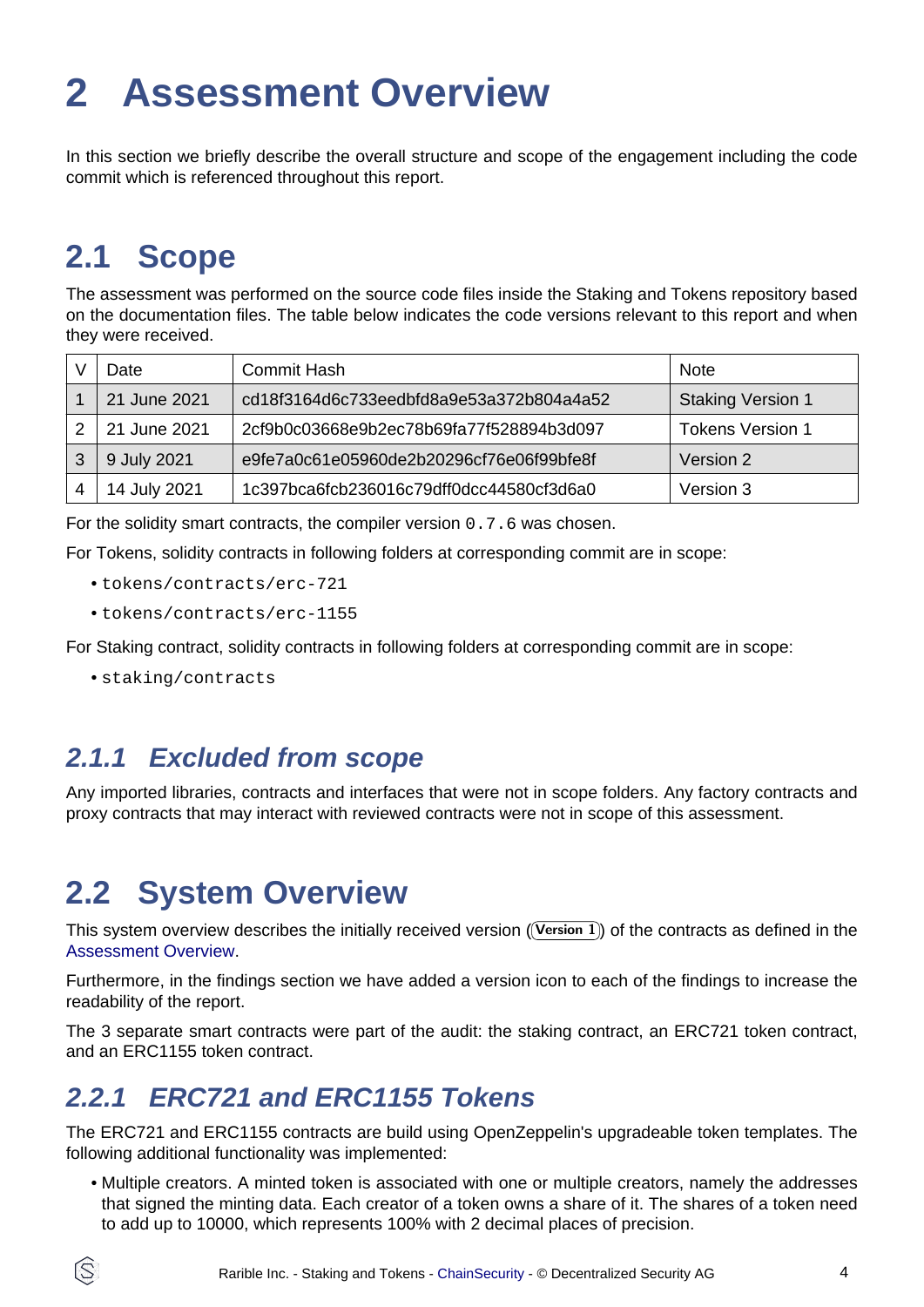# <span id="page-3-1"></span><span id="page-3-0"></span>**2 Assessment Overview**

In this section we briefly describe the overall structure and scope of the engagement including the code commit which is referenced throughout this report.

### **2.1 Scope**

The assessment was performed on the source code files inside the Staking and Tokens repository based on the documentation files. The table below indicates the code versions relevant to this report and when they were received.

| Date         | <b>Commit Hash</b>                       | <b>Note</b>              |
|--------------|------------------------------------------|--------------------------|
| 21 June 2021 | cd18f3164d6c733eedbfd8a9e53a372b804a4a52 | <b>Staking Version 1</b> |
| 21 June 2021 | 2cf9b0c03668e9b2ec78b69fa77f528894b3d097 | <b>Tokens Version 1</b>  |
| 9 July 2021  | e9fe7a0c61e05960de2b20296cf76e06f99bfe8f | Version 2                |
| 14 July 2021 | 1c397bca6fcb236016c79dff0dcc44580cf3d6a0 | Version 3                |

For the solidity smart contracts, the compiler version 0.7.6 was chosen.

For Tokens, solidity contracts in following folders at corresponding commit are in scope:

- tokens/contracts/erc-721
- tokens/contracts/erc-1155

For Staking contract, solidity contracts in following folders at corresponding commit are in scope:

• staking/contracts

### **2.1.1 Excluded from scope**

Any imported libraries, contracts and interfaces that were not in scope folders. Any factory contracts and proxy contracts that may interact with reviewed contracts were not in scope of this assessment.

## **2.2 System Overview**

This system overview describes the initially received version ((Version 1)) of the contracts as defined in the [Assessment Overview](#page-3-1).

Furthermore, in the findings section we have added a version icon to each of the findings to increase the readability of the report.

The 3 separate smart contracts were part of the audit: the staking contract, an ERC721 token contract, and an ERC1155 token contract.

### **2.2.1 ERC721 and ERC1155 Tokens**

The ERC721 and ERC1155 contracts are build using OpenZeppelin's upgradeable token templates. The following additional functionality was implemented:

• Multiple creators. A minted token is associated with one or multiple creators, namely the addresses that signed the minting data. Each creator of a token owns a share of it. The shares of a token need to add up to 10000, which represents 100% with 2 decimal places of precision.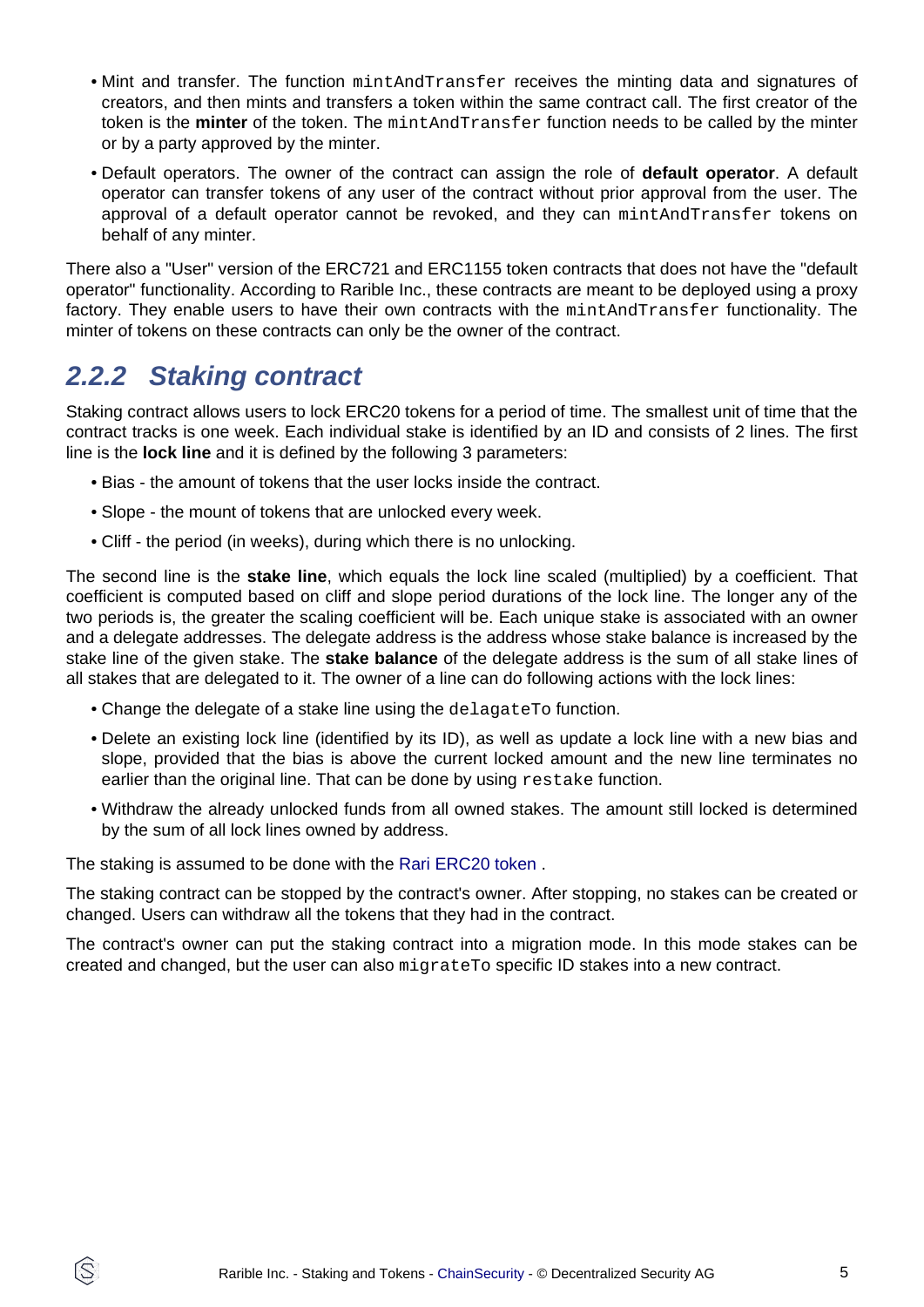- Mint and transfer. The function mintAndTransfer receives the minting data and signatures of creators, and then mints and transfers a token within the same contract call. The first creator of the token is the **minter** of the token. The mintAndTransfer function needs to be called by the minter or by a party approved by the minter.
- Default operators. The owner of the contract can assign the role of **default operator**. A default operator can transfer tokens of any user of the contract without prior approval from the user. The approval of a default operator cannot be revoked, and they can mintAndTransfer tokens on behalf of any minter.

There also a "User" version of the ERC721 and ERC1155 token contracts that does not have the "default operator" functionality. According to Rarible Inc., these contracts are meant to be deployed using a proxy factory. They enable users to have their own contracts with the mintAndTransfer functionality. The minter of tokens on these contracts can only be the owner of the contract.

### **2.2.2 Staking contract**

Staking contract allows users to lock ERC20 tokens for a period of time. The smallest unit of time that the contract tracks is one week. Each individual stake is identified by an ID and consists of 2 lines. The first line is the **lock line** and it is defined by the following 3 parameters:

- Bias the amount of tokens that the user locks inside the contract.
- Slope the mount of tokens that are unlocked every week.
- Cliff the period (in weeks), during which there is no unlocking.

The second line is the **stake line**, which equals the lock line scaled (multiplied) by a coefficient. That coefficient is computed based on cliff and slope period durations of the lock line. The longer any of the two periods is, the greater the scaling coefficient will be. Each unique stake is associated with an owner and a delegate addresses. The delegate address is the address whose stake balance is increased by the stake line of the given stake. The **stake balance** of the delegate address is the sum of all stake lines of all stakes that are delegated to it. The owner of a line can do following actions with the lock lines:

- Change the delegate of a stake line using the delagate To function.
- Delete an existing lock line (identified by its ID), as well as update a lock line with a new bias and slope, provided that the bias is above the current locked amount and the new line terminates no earlier than the original line. That can be done by using restake function.
- Withdraw the already unlocked funds from all owned stakes. The amount still locked is determined by the sum of all lock lines owned by address.

The staking is assumed to be done with the [Rari ERC20 token](https://etherscan.io/address/0xfca59cd816ab1ead66534d82bc21e7515ce441cf) .

The staking contract can be stopped by the contract's owner. After stopping, no stakes can be created or changed. Users can withdraw all the tokens that they had in the contract.

The contract's owner can put the staking contract into a migration mode. In this mode stakes can be created and changed, but the user can also migrateTo specific ID stakes into a new contract.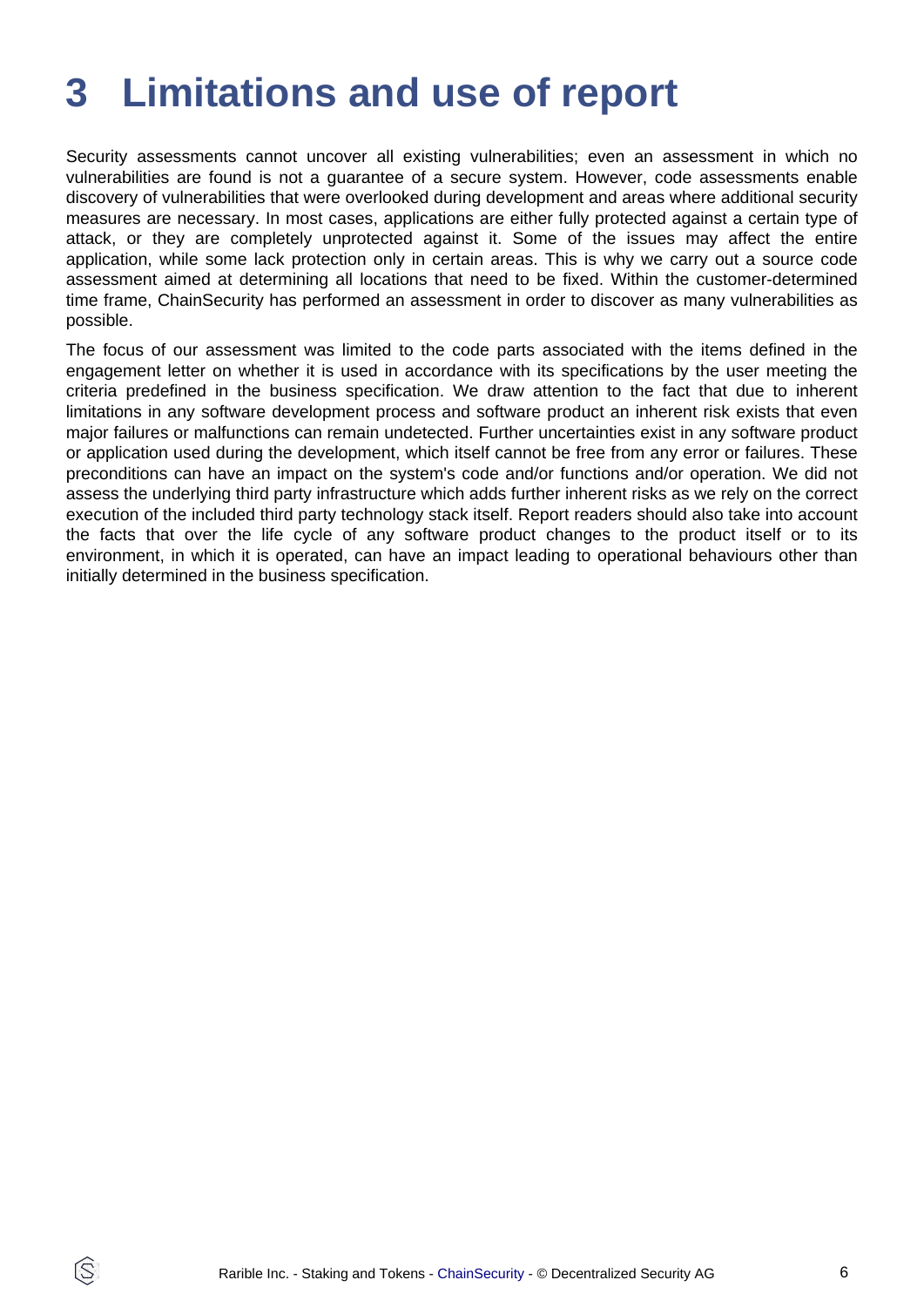# <span id="page-5-0"></span>**3 Limitations and use of report**

Security assessments cannot uncover all existing vulnerabilities; even an assessment in which no vulnerabilities are found is not a guarantee of a secure system. However, code assessments enable discovery of vulnerabilities that were overlooked during development and areas where additional security measures are necessary. In most cases, applications are either fully protected against a certain type of attack, or they are completely unprotected against it. Some of the issues may affect the entire application, while some lack protection only in certain areas. This is why we carry out a source code assessment aimed at determining all locations that need to be fixed. Within the customer-determined time frame, ChainSecurity has performed an assessment in order to discover as many vulnerabilities as possible.

The focus of our assessment was limited to the code parts associated with the items defined in the engagement letter on whether it is used in accordance with its specifications by the user meeting the criteria predefined in the business specification. We draw attention to the fact that due to inherent limitations in any software development process and software product an inherent risk exists that even major failures or malfunctions can remain undetected. Further uncertainties exist in any software product or application used during the development, which itself cannot be free from any error or failures. These preconditions can have an impact on the system's code and/or functions and/or operation. We did not assess the underlying third party infrastructure which adds further inherent risks as we rely on the correct execution of the included third party technology stack itself. Report readers should also take into account the facts that over the life cycle of any software product changes to the product itself or to its environment, in which it is operated, can have an impact leading to operational behaviours other than initially determined in the business specification.

ÍŠ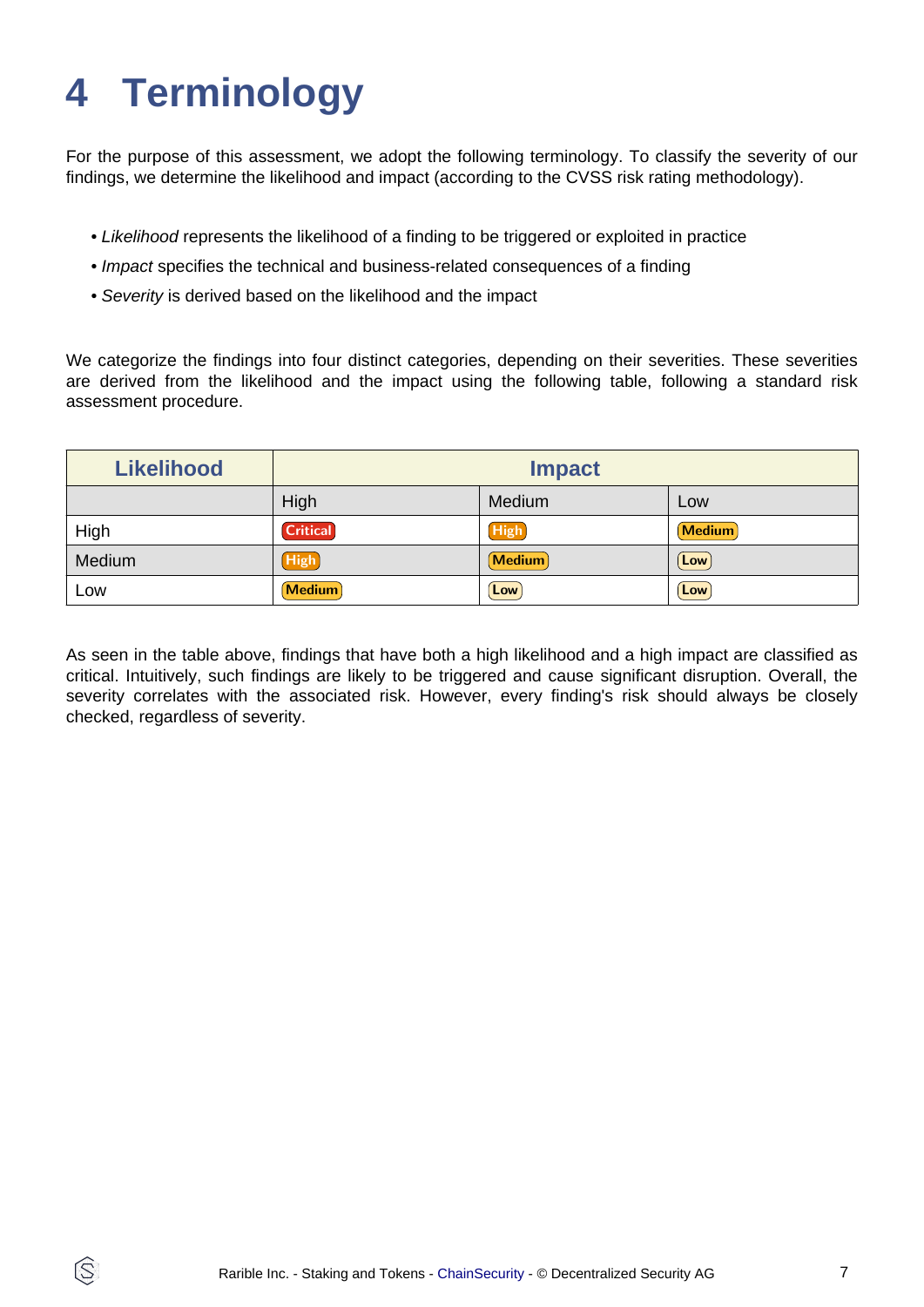# <span id="page-6-0"></span>**4 Terminology**

ÍŜ

For the purpose of this assessment, we adopt the following terminology. To classify the severity of our findings, we determine the likelihood and impact (according to the CVSS risk rating methodology).

- Likelihood represents the likelihood of a finding to be triggered or exploited in practice
- Impact specifies the technical and business-related consequences of a finding
- Severity is derived based on the likelihood and the impact

We categorize the findings into four distinct categories, depending on their severities. These severities are derived from the likelihood and the impact using the following table, following a standard risk assessment procedure.

| <b>Likelihood</b> | <b>Impact</b>   |             |               |
|-------------------|-----------------|-------------|---------------|
|                   | High            | Medium      | Low           |
| High              | <b>Critical</b> | High        | <b>Medium</b> |
| Medium            | <b>High</b>     | Medium      | Low           |
| LOW               | <b>Medium</b>   | $[$ Low $]$ | Low           |

As seen in the table above, findings that have both a high likelihood and a high impact are classified as critical. Intuitively, such findings are likely to be triggered and cause significant disruption. Overall, the severity correlates with the associated risk. However, every finding's risk should always be closely checked, regardless of severity.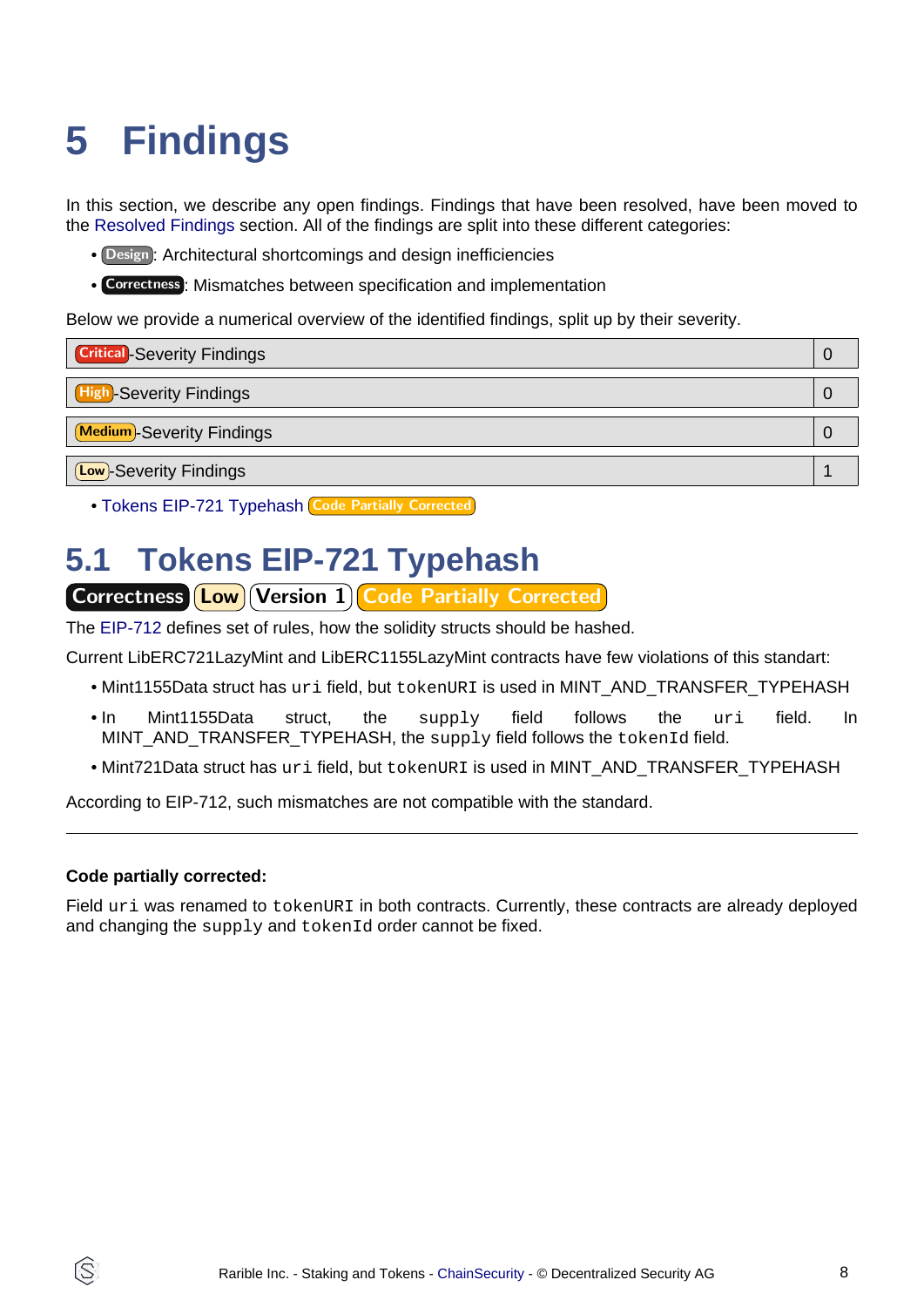# <span id="page-7-2"></span><span id="page-7-0"></span>**5 Findings**

In this section, we describe any open findings. Findings that have been resolved, have been moved to the [Resolved Findings](#page-8-1) section. All of the findings are split into these different categories:

- Design : Architectural shortcomings and design inefficiencies
- Correctness : Mismatches between specification and implementation

Below we provide a numerical overview of the identified findings, split up by their severity.

| <b>Critical</b> -Severity Findings |  |
|------------------------------------|--|
| <b>High-Severity Findings</b>      |  |
| Medium-Severity Findings           |  |
| <b>Low</b> -Severity Findings      |  |

• [Tokens EIP-721 Typehash](#page-7-1) Code Partially Corrected

### <span id="page-7-1"></span>**5.1 Tokens EIP-721 Typehash**

Correctness (Low) Version 1) Code Partially Corrected

The [EIP-712](https://github.com/ethereum/EIPs/blob/master/EIPS/eip-712.md) defines set of rules, how the solidity structs should be hashed.

Current LibERC721LazyMint and LibERC1155LazyMint contracts have few violations of this standart:

- Mint1155Data struct has uri field, but tokenURI is used in MINT\_AND\_TRANSFER\_TYPEHASH
- In Mint1155Data struct, the supply field follows the uri field. In MINT\_AND\_TRANSFER\_TYPEHASH, the supply field follows the tokenId field.
- Mint721Data struct has uri field, but tokenURI is used in MINT\_AND\_TRANSFER\_TYPEHASH

According to EIP-712, such mismatches are not compatible with the standard.

#### **Code partially corrected:**

Field uri was renamed to tokenURI in both contracts. Currently, these contracts are already deployed and changing the supply and tokenId order cannot be fixed.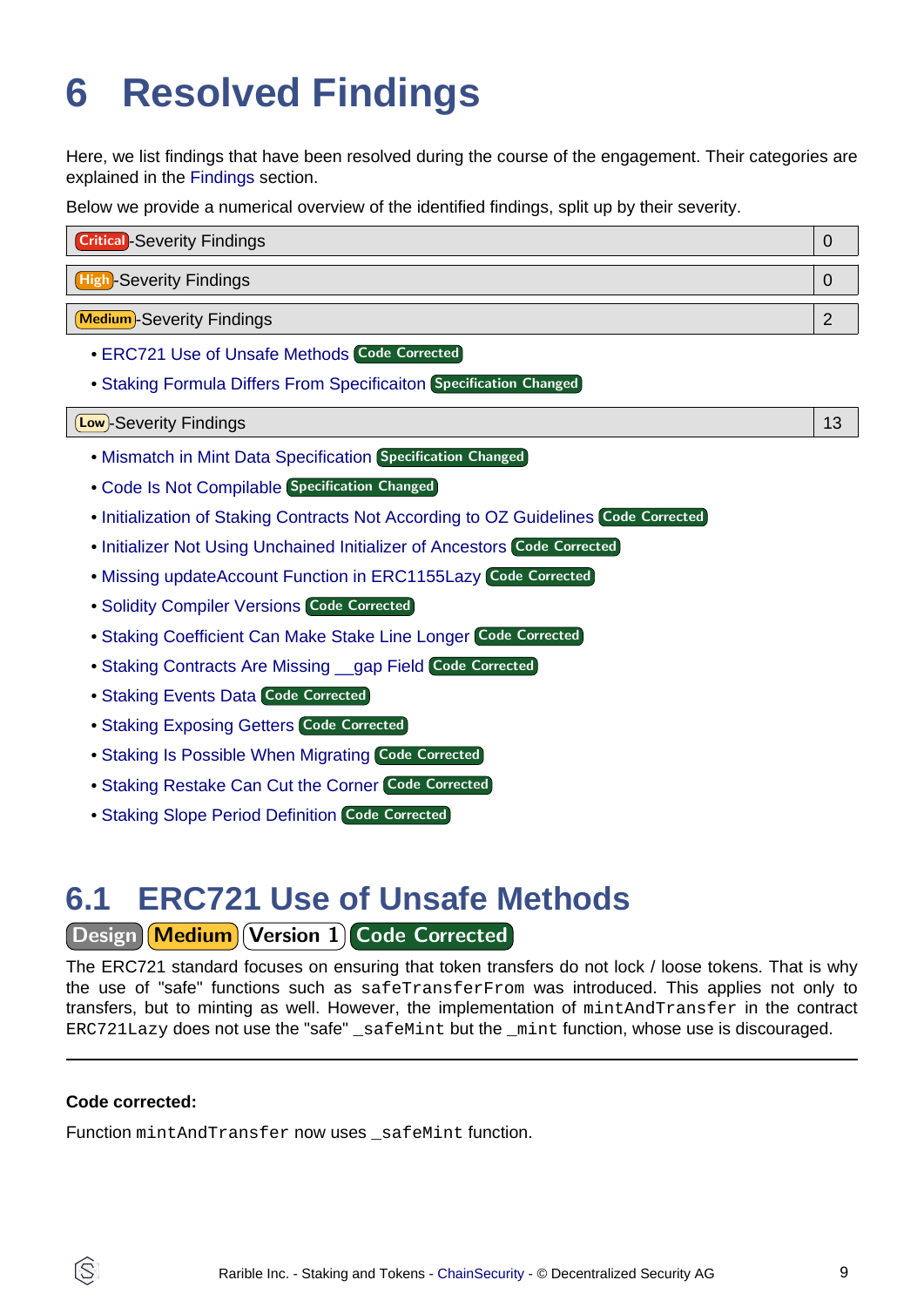# <span id="page-8-1"></span><span id="page-8-0"></span>**6 Resolved Findings**

Here, we list findings that have been resolved during the course of the engagement. Their categories are explained in the [Findings](#page-7-2) section.

Below we provide a numerical overview of the identified findings, split up by their severity.

| <b>Critical</b> -Severity Findings                                                  | $\mathbf 0$    |
|-------------------------------------------------------------------------------------|----------------|
| <b>High-Severity Findings</b>                                                       | $\mathbf 0$    |
| <b>Medium</b> -Severity Findings                                                    | $\overline{2}$ |
| • ERC721 Use of Unsafe Methods Code Corrected                                       |                |
| • Staking Formula Differs From Specificaiton Specification Changed                  |                |
|                                                                                     |                |
| (Low)-Severity Findings                                                             | 13             |
| . Mismatch in Mint Data Specification Specification Changed                         |                |
| • Code Is Not Compilable Specification Changed                                      |                |
| . Initialization of Staking Contracts Not According to OZ Guidelines Code Corrected |                |
| • Initializer Not Using Unchained Initializer of Ancestors Code Corrected           |                |

- **[Solidity Compiler Versions](#page-11-0) Code Corrected**
- [Staking Coefficient Can Make Stake Line Longer](#page-11-1) Code Corrected
- [Staking Contracts Are Missing \\_\\_gap Field](#page-11-2) Code Corrected
- [Staking Events Data](#page-12-0) Code Corrected
- **[Staking Exposing Getters](#page-12-1) Code Corrected**
- **[Staking Is Possible When Migrating](#page-13-0) Code Corrected**
- [Staking Restake Can Cut the Corner](#page-13-1) Code Corrected
- [Staking Slope Period Definition](#page-13-2) Code Corrected

### <span id="page-8-2"></span>**6.1 ERC721 Use of Unsafe Methods**

### Design Medium Version 1 Code Corrected

The ERC721 standard focuses on ensuring that token transfers do not lock / loose tokens. That is why the use of "safe" functions such as safeTransferFrom was introduced. This applies not only to transfers, but to minting as well. However, the implementation of mintAndTransfer in the contract ERC721Lazy does not use the "safe" \_safeMint but the \_mint function, whose use is discouraged.

#### **Code corrected:**

ÍŜ

Function mintAndTransfer now uses safeMint function.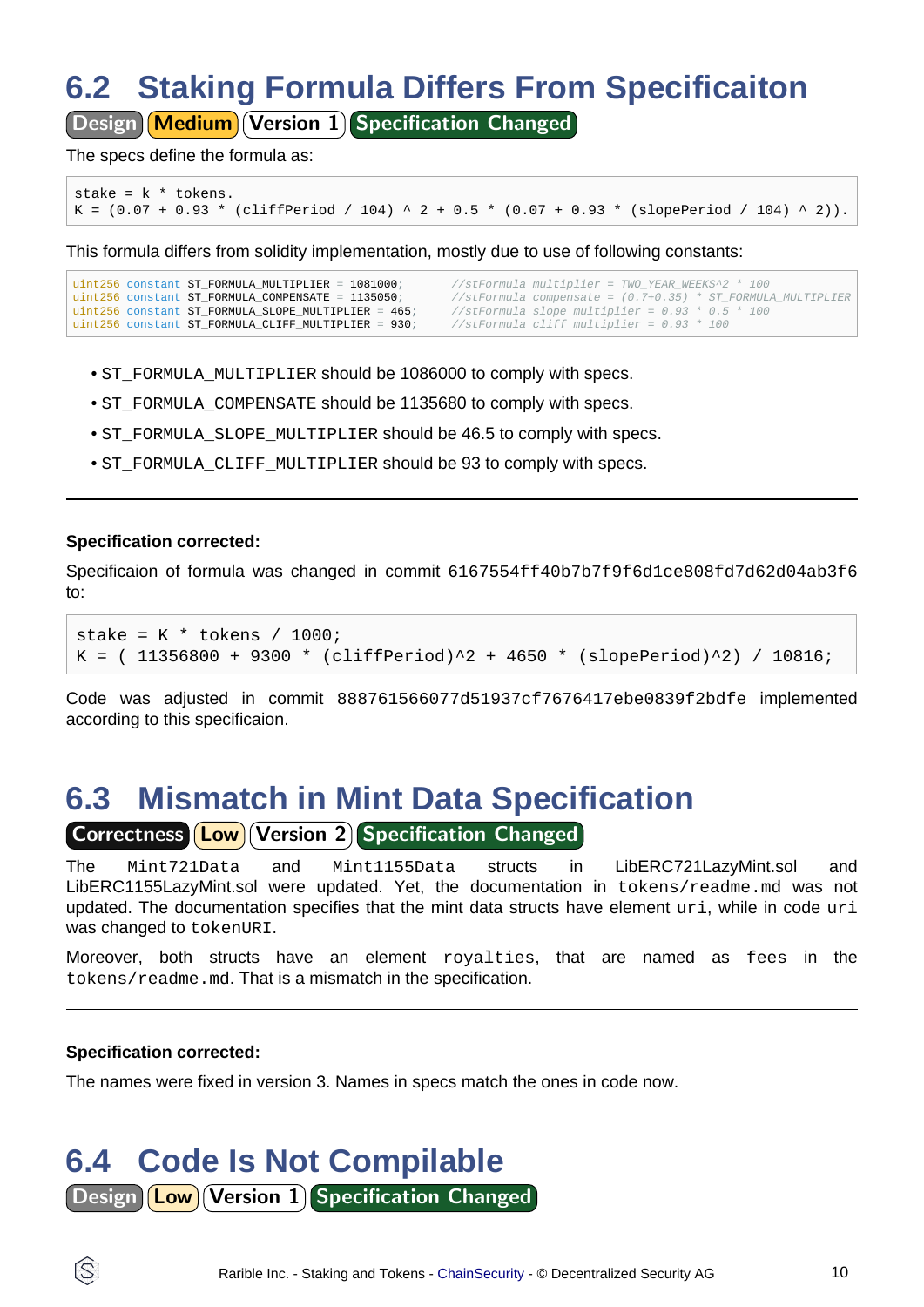## <span id="page-9-0"></span>**6.2 Staking Formula Differs From Specificaiton**

Design Medium Version 1 Specification Changed

The specs define the formula as:

```
stake = k * tokens.
K = (0.07 + 0.93 * (cliffPeriod / 104) ^2 + 0.5 * (0.07 + 0.93 * (slopePeriod / 104) ^2)).
```
This formula differs from solidity implementation, mostly due to use of following constants:

```
uint256 constant ST_FORMULA_MULTIPLIER = 1081000;<br>uint256 constant ST_FORMULA_COMPENSATE = 1135050;<br>//stFormula compensate = (0.7+0.35) * ST_FORMUL
uint256 constant ST_FORMULA_COMPENSATE = 1135050;<br>uint256 constant ST FORMULA_SLOPE MULTIPLIER = 465; //stFormula_slope_multiplier = 0 93 * 0 5 * 100
                                                                              1/stFormula slope multiplier = 0.93 * 0.5 * 100<br>1/stFormula cliff multiplier = 0.93 * 100
uint256 constant ST_FORMULA_CLIFF_MULTIPLIER = 930/
```
- ST\_FORMULA\_MULTIPLIER should be 1086000 to comply with specs.
- ST\_FORMULA\_COMPENSATE should be 1135680 to comply with specs.
- ST\_FORMULA\_SLOPE\_MULTIPLIER should be 46.5 to comply with specs.
- ST\_FORMULA\_CLIFF\_MULTIPLIER should be 93 to comply with specs.

#### **Specification corrected:**

Specificaion of formula was changed in commit 6167554ff40b7b7f9f6d1ce808fd7d62d04ab3f6 to:

```
stake = K * tokens / 1000;
K = (11356800 + 9300 * (cliffPeriod)^2 + 4650 * (sloperiod)^2) / 10816;
```
Code was adjusted in commit 888761566077d51937cf7676417ebe0839f2bdfe implemented according to this specificaion.

### <span id="page-9-1"></span>**6.3 Mismatch in Mint Data Specification**

Correctness **Low Version 2** Specification Changed

The Mint721Data and Mint1155Data structs in LibERC721LazyMint.sol and LibERC1155LazyMint.sol were updated. Yet, the documentation in tokens/readme.md was not updated. The documentation specifies that the mint data structs have element uri, while in code uri was changed to tokenURI.

Moreover, both structs have an element royalties, that are named as fees in the tokens/readme.md. That is a mismatch in the specification.

#### **Specification corrected:**

The names were fixed in version 3. Names in specs match the ones in code now.

## <span id="page-9-2"></span>**6.4 Code Is Not Compilable**

Design **Low** Version 1 Specification Changed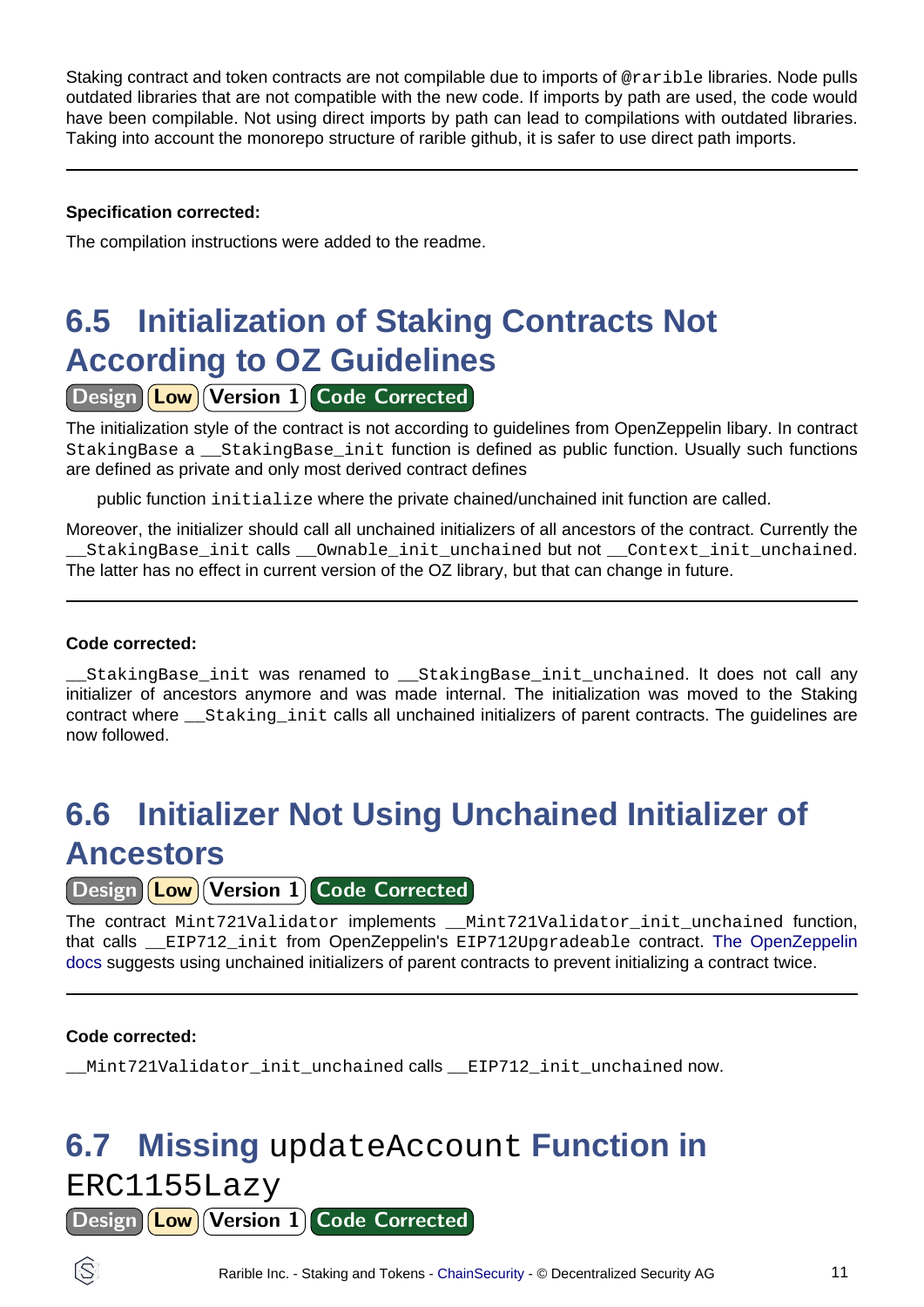Staking contract and token contracts are not compilable due to imports of @rarible libraries. Node pulls outdated libraries that are not compatible with the new code. If imports by path are used, the code would have been compilable. Not using direct imports by path can lead to compilations with outdated libraries. Taking into account the monorepo structure of rarible github, it is safer to use direct path imports.

#### **Specification corrected:**

The compilation instructions were added to the readme.

## <span id="page-10-0"></span>**6.5 Initialization of Staking Contracts Not According to OZ Guidelines**

### Design (Low) Version 1 Code Corrected

The initialization style of the contract is not according to guidelines from OpenZeppelin libary. In contract StakingBase a \_\_StakingBase\_init function is defined as public function. Usually such functions are defined as private and only most derived contract defines

public function initialize where the private chained/unchained init function are called.

Moreover, the initializer should call all unchained initializers of all ancestors of the contract. Currently the \_\_StakingBase\_init calls \_\_Ownable\_init\_unchained but not \_\_Context\_init\_unchained. The latter has no effect in current version of the OZ library, but that can change in future.

#### **Code corrected:**

StakingBase init was renamed to StakingBase init unchained. It does not call any initializer of ancestors anymore and was made internal. The initialization was moved to the Staking contract where \_\_Staking\_init calls all unchained initializers of parent contracts. The guidelines are now followed.

## <span id="page-10-1"></span>**6.6 Initializer Not Using Unchained Initializer of Ancestors**

Design **Low** Version 1 Code Corrected

The contract Mint721Validator implements \_\_Mint721Validator\_init\_unchained function, that calls EIP712 init from OpenZeppelin's EIP712Upgradeable contra[ct. The OpenZeppelin](https://docs.openzeppelin.com/contracts/3.x/upgradeable#multiple-inheritance) [docs](https://docs.openzeppelin.com/contracts/3.x/upgradeable#multiple-inheritance) suggests using unchained initializers of parent contracts to prevent initializing a contract twice.

#### **Code corrected:**

\_\_Mint721Validator\_init\_unchained calls \_\_EIP712\_init\_unchained now.

## <span id="page-10-2"></span>**6.7 Missing** updateAccount **Function in**

ERC1155Lazy

Design | **Low** Version 1 Code Corrected

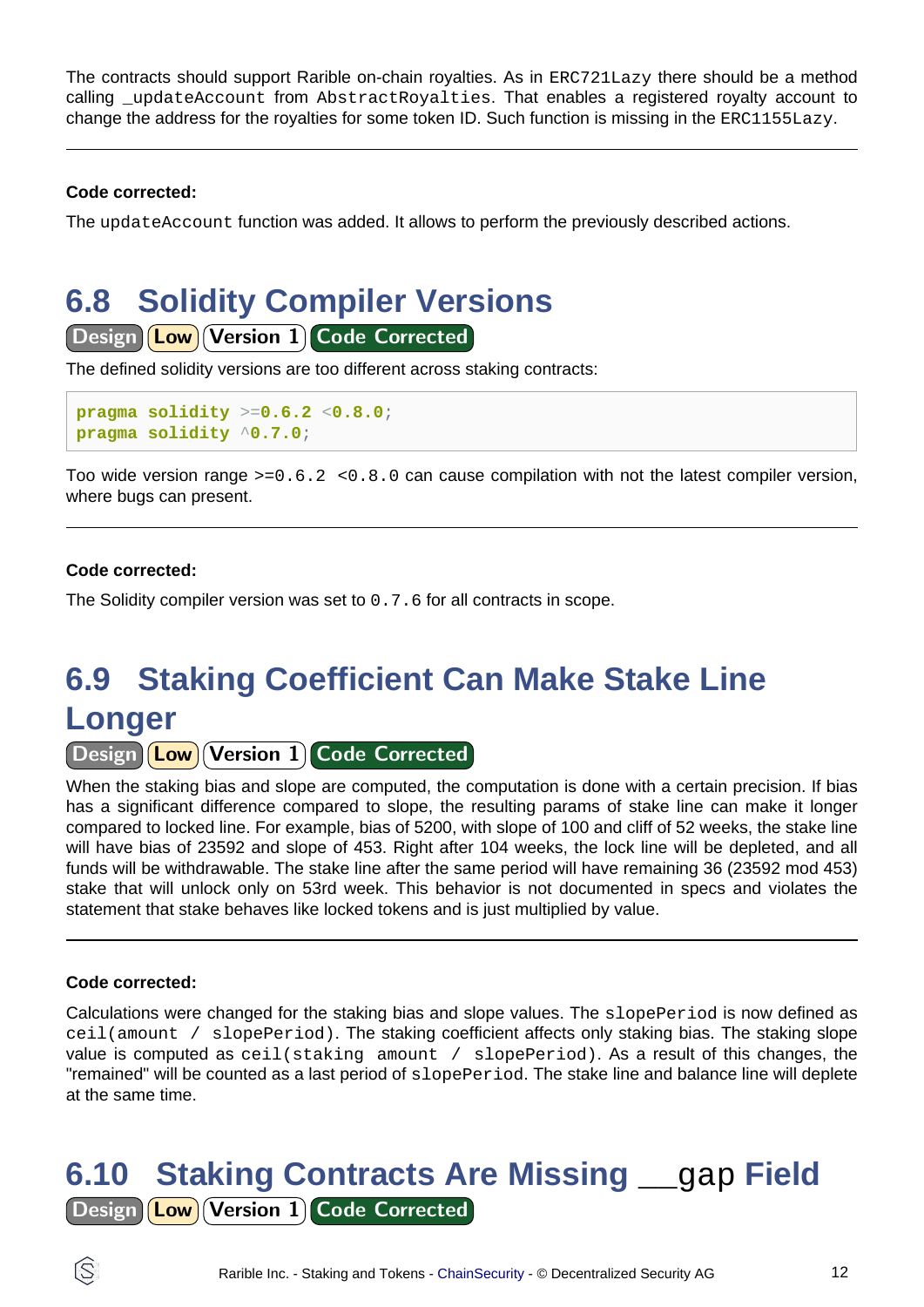The contracts should support Rarible on-chain royalties. As in ERC721Lazy there should be a method calling \_updateAccount from AbstractRoyalties. That enables a registered royalty account to change the address for the royalties for some token ID. Such function is missing in the ERC1155Lazy.

#### **Code corrected:**

The updateAccount function was added. It allows to perform the previously described actions.

### <span id="page-11-0"></span>**6.8 Solidity Compiler Versions**

Design (Low) Version 1 Code Corrected

The defined solidity versions are too different across staking contracts:

```
pragma solidity >=0.6.2 <0.8.0;
pragma solidity ^0.7.0;
```
Too wide version range  $>=0.6.2 < 0.8.0$  can cause compilation with not the latest compiler version, where bugs can present.

#### **Code corrected:**

The Solidity compiler version was set to 0.7.6 for all contracts in scope.

## <span id="page-11-1"></span>**6.9 Staking Coefficient Can Make Stake Line Longer**

Design **Low** Version 1 Code Corrected

When the staking bias and slope are computed, the computation is done with a certain precision. If bias has a significant difference compared to slope, the resulting params of stake line can make it longer compared to locked line. For example, bias of 5200, with slope of 100 and cliff of 52 weeks, the stake line will have bias of 23592 and slope of 453. Right after 104 weeks, the lock line will be depleted, and all funds will be withdrawable. The stake line after the same period will have remaining 36 (23592 mod 453) stake that will unlock only on 53rd week. This behavior is not documented in specs and violates the statement that stake behaves like locked tokens and is just multiplied by value.

#### **Code corrected:**

Calculations were changed for the staking bias and slope values. The slopePeriod is now defined as ceil(amount / slopePeriod). The staking coefficient affects only staking bias. The staking slope value is computed as  $ceil(\text{staking amount / slopePeriod})$ . As a result of this changes, the "remained" will be counted as a last period of slopePeriod. The stake line and balance line will deplete at the same time.

<span id="page-11-2"></span>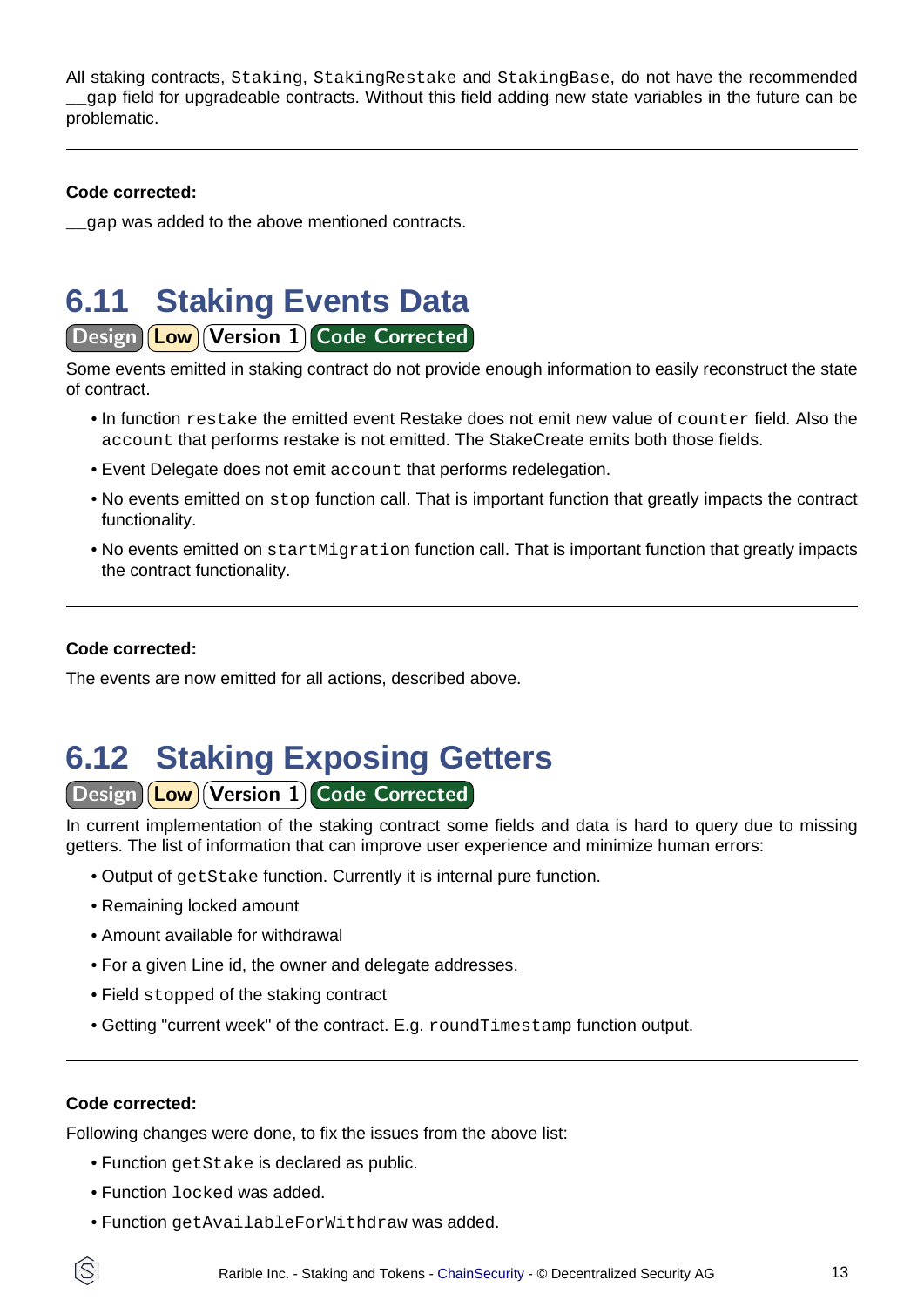All staking contracts, Staking, StakingRestake and StakingBase, do not have the recommended gap field for upgradeable contracts. Without this field adding new state variables in the future can be problematic.

#### **Code corrected:**

gap was added to the above mentioned contracts.

### <span id="page-12-0"></span>**6.11 Staking Events Data**

Design **Low** Version 1 Code Corrected

Some events emitted in staking contract do not provide enough information to easily reconstruct the state of contract.

- In function restake the emitted event Restake does not emit new value of counter field. Also the account that performs restake is not emitted. The StakeCreate emits both those fields.
- Event Delegate does not emit account that performs redelegation.
- No events emitted on stop function call. That is important function that greatly impacts the contract functionality.
- No events emitted on startMigration function call. That is important function that greatly impacts the contract functionality.

#### **Code corrected:**

The events are now emitted for all actions, described above.

# <span id="page-12-1"></span>**6.12 Staking Exposing Getters**

Design **Low** Version 1 Code Corrected

In current implementation of the staking contract some fields and data is hard to query due to missing getters. The list of information that can improve user experience and minimize human errors:

- Output of getStake function. Currently it is internal pure function.
- Remaining locked amount
- Amount available for withdrawal
- For a given Line id, the owner and delegate addresses.
- Field stopped of the staking contract
- Getting "current week" of the contract. E.g. roundTimestamp function output.

#### **Code corrected:**

ÍŜ

Following changes were done, to fix the issues from the above list:

- Function getStake is declared as public.
- Function locked was added.
- Function getAvailableForWithdraw was added.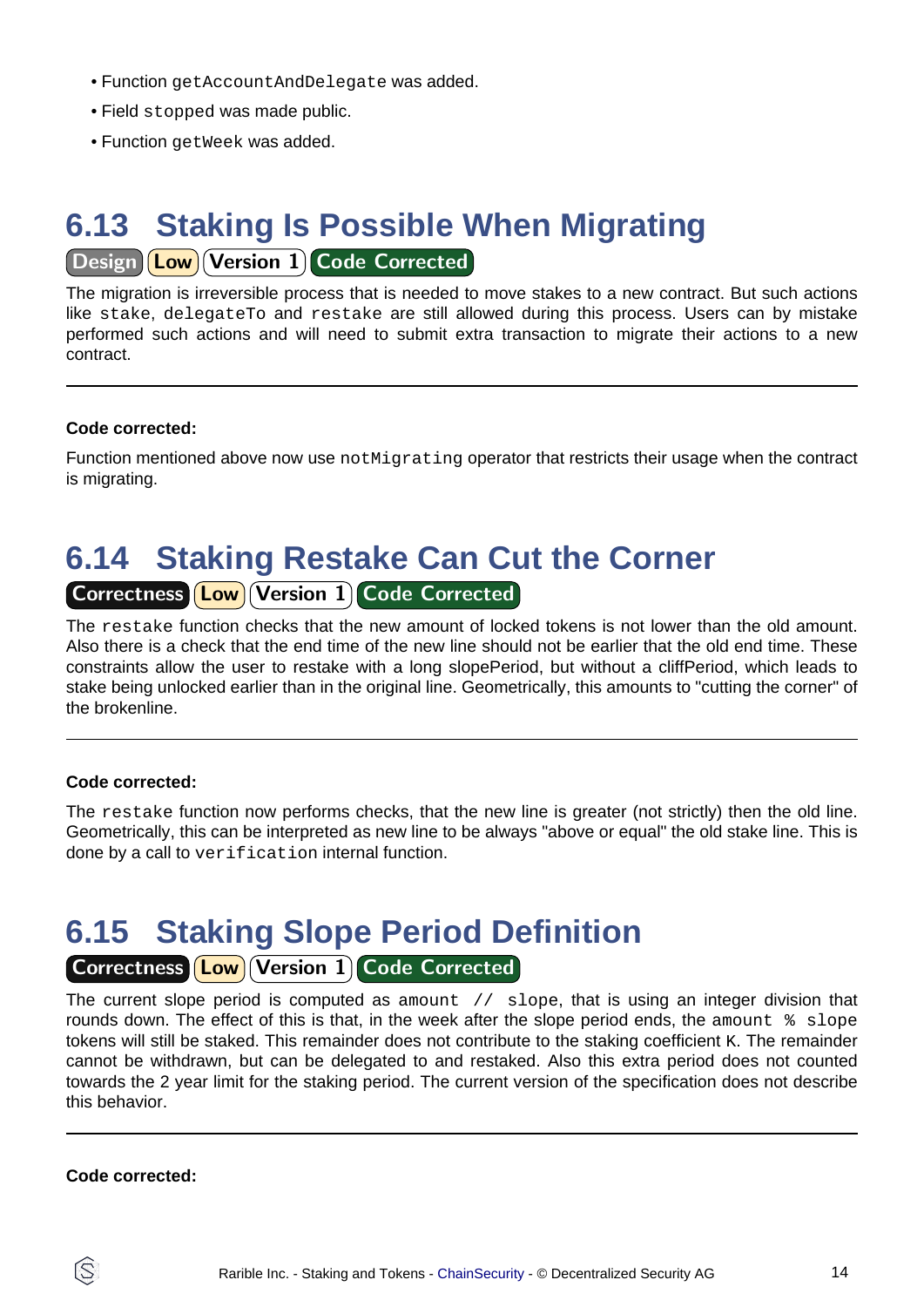- Function getAccountAndDelegate was added.
- Field stopped was made public.
- Function getWeek was added.

## <span id="page-13-0"></span>**6.13 Staking Is Possible When Migrating**

### Design (Low) Version 1 Code Corrected

The migration is irreversible process that is needed to move stakes to a new contract. But such actions like stake, delegateTo and restake are still allowed during this process. Users can by mistake performed such actions and will need to submit extra transaction to migrate their actions to a new contract.

#### **Code corrected:**

Function mentioned above now use not Migrating operator that restricts their usage when the contract is migrating.

## <span id="page-13-1"></span>**6.14 Staking Restake Can Cut the Corner**

### Correctness **Low Version 1 Code Corrected**

The restake function checks that the new amount of locked tokens is not lower than the old amount. Also there is a check that the end time of the new line should not be earlier that the old end time. These constraints allow the user to restake with a long slopePeriod, but without a cliffPeriod, which leads to stake being unlocked earlier than in the original line. Geometrically, this amounts to "cutting the corner" of the brokenline.

#### **Code corrected:**

The restake function now performs checks, that the new line is greater (not strictly) then the old line. Geometrically, this can be interpreted as new line to be always "above or equal" the old stake line. This is done by a call to verification internal function.

### <span id="page-13-2"></span>**6.15 Staking Slope Period Definition**

### Correctness **Low** Version 1 Code Corrected

The current slope period is computed as amount  $\frac{1}{2}$  slope, that is using an integer division that rounds down. The effect of this is that, in the week after the slope period ends, the amount  $\frac{1}{8}$  slope tokens will still be staked. This remainder does not contribute to the staking coefficient K. The remainder cannot be withdrawn, but can be delegated to and restaked. Also this extra period does not counted towards the 2 year limit for the staking period. The current version of the specification does not describe this behavior.

#### **Code corrected:**

ÍŜ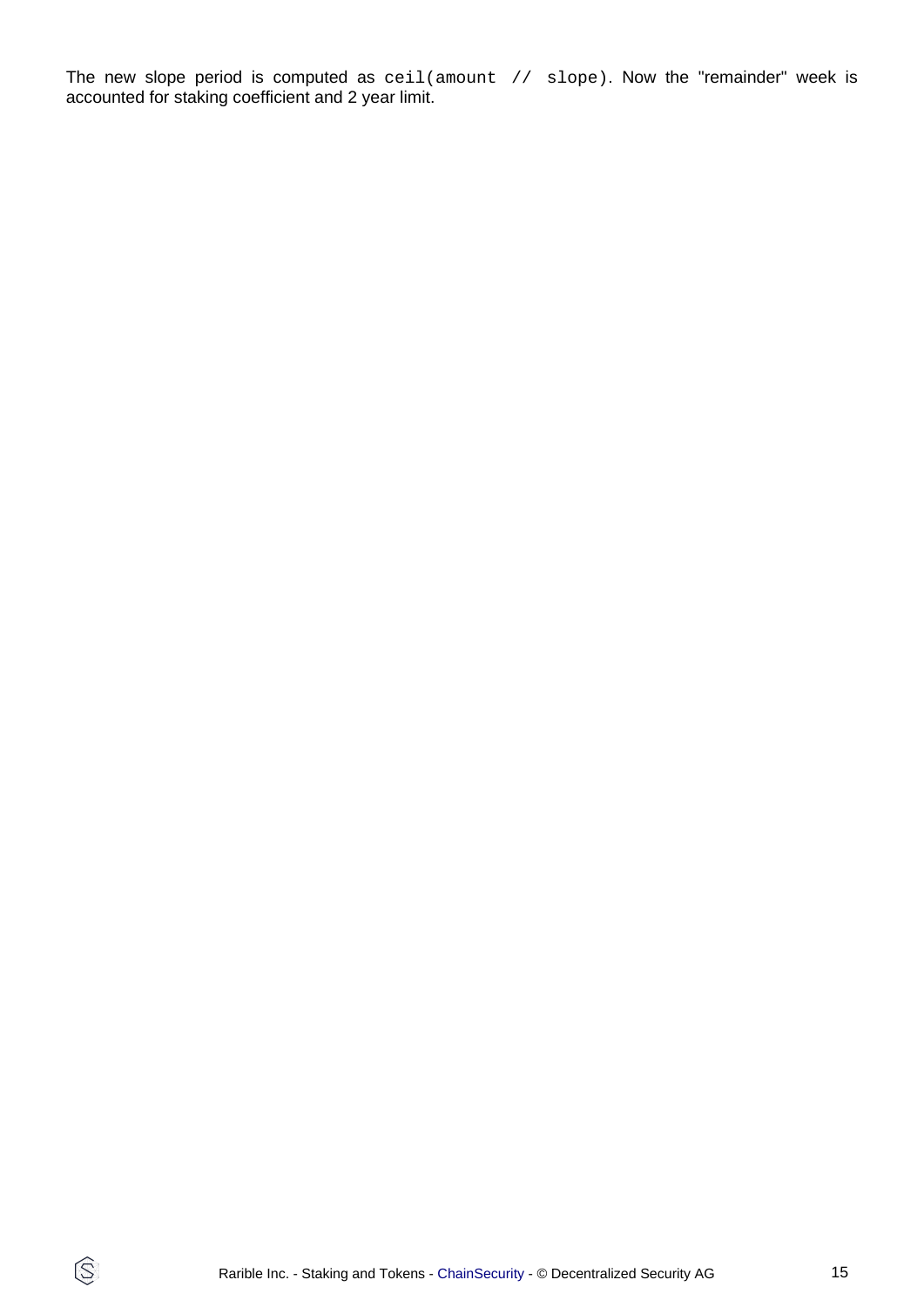The new slope period is computed as ceil(amount // slope). Now the "remainder" week is accounted for staking coefficient and 2 year limit.

 $\circledS$